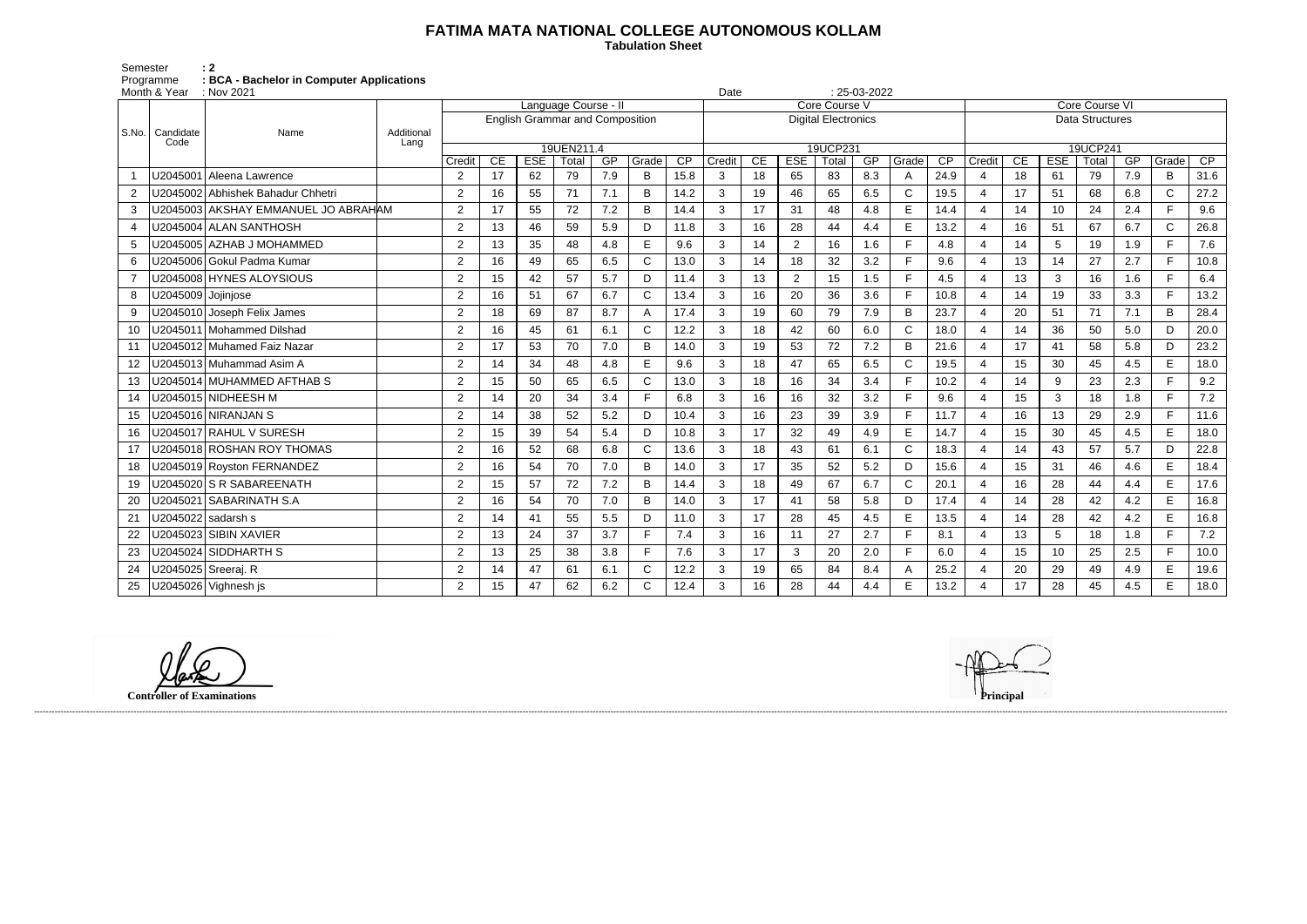## **FATIMA MATA NATIONAL COLLEGE AUTONOMOUS KOLLAM**

 **Tabulation Sheet** 

Semester : 2 Programme **: BCA - Bachelor in Computer Applications**

|                | Month & Year       | : Nov 2021                          |                    |                                        |    |            |             |     |              |      | $: 25-03-2022$<br>Date     |    |                |             |     |                   |      |                          |                |            |             |     |             |      |  |  |  |
|----------------|--------------------|-------------------------------------|--------------------|----------------------------------------|----|------------|-------------|-----|--------------|------|----------------------------|----|----------------|-------------|-----|-------------------|------|--------------------------|----------------|------------|-------------|-----|-------------|------|--|--|--|
| S.No.          | Candidate<br>Code  | Name                                |                    | Language Course -                      |    |            |             |     |              |      | Core Course V              |    |                |             |     |                   |      |                          | Core Course VI |            |             |     |             |      |  |  |  |
|                |                    |                                     |                    | <b>English Grammar and Composition</b> |    |            |             |     |              |      | <b>Digital Electronics</b> |    |                |             |     |                   |      | <b>Data Structures</b>   |                |            |             |     |             |      |  |  |  |
|                |                    |                                     | Additional<br>Lang |                                        |    |            |             |     |              |      |                            |    |                |             |     |                   |      |                          |                |            |             |     |             |      |  |  |  |
|                |                    |                                     |                    |                                        | CE | <b>ESE</b> | 19UEN211.4  | GP  | Grade        | CP   | Credit                     | CE | <b>ESE</b>     | 19UCP231    | GP  |                   | CP   |                          | CE             | <b>ESE</b> | 19UCP241    | GP  | Grade       | CP   |  |  |  |
|                | U2045001           | Aleena Lawrence                     |                    | Credit<br>2                            | 17 | 62         | Total<br>79 | 7.9 | B            | 15.8 | 3                          | 18 | 65             | Total<br>83 | 8.3 | Grade             | 24.9 | Credit<br>4              | 18             | 61         | Total<br>79 | 7.9 | B           | 31.6 |  |  |  |
|                |                    | U2045002 Abhishek Bahadur Chhetri   |                    |                                        |    |            |             | 7.1 |              |      |                            |    | 46             |             |     | A<br>$\mathsf{C}$ |      | $\overline{4}$           |                |            |             |     | $\mathsf C$ |      |  |  |  |
| 2              |                    |                                     |                    | 2                                      | 16 | 55         | 71          |     | B            | 14.2 | 3                          | 19 |                | 65          | 6.5 |                   | 19.5 |                          | 17             | 51         | 68          | 6.8 | F           | 27.2 |  |  |  |
| 3              |                    | U2045003 AKSHAY EMMANUEL JO ABRAHAM |                    | $\overline{2}$                         | 17 | 55         | 72          | 7.2 | B            | 14.4 | 3                          | 17 | 31             | 48          | 4.8 | E                 | 14.4 | $\overline{\mathcal{A}}$ | 14             | 10         | 24          | 2.4 |             | 9.6  |  |  |  |
| $\overline{4}$ |                    | U2045004 ALAN SANTHOSH              |                    | $\overline{2}$                         | 13 | 46         | 59          | 5.9 | D            | 11.8 | 3                          | 16 | 28             | 44          | 4.4 | E                 | 13.2 | $\overline{4}$           | 16             | 51         | 67          | 6.7 | $\mathsf C$ | 26.8 |  |  |  |
| 5              |                    | U2045005 AZHAB J MOHAMMED           |                    | 2                                      | 13 | 35         | 48          | 4.8 | E            | 9.6  | 3                          | 14 | $\overline{2}$ | 16          | 1.6 | F                 | 4.8  | 4                        | 14             | 5          | 19          | 1.9 | F.          | 7.6  |  |  |  |
| 6              |                    | J2045006 Gokul Padma Kumar          |                    | $\overline{2}$                         | 16 | 49         | 65          | 6.5 | $\mathsf{C}$ | 13.0 | 3                          | 14 | 18             | 32          | 3.2 | F                 | 9.6  | $\overline{4}$           | 13             | 14         | 27          | 2.7 | F.          | 10.8 |  |  |  |
|                |                    | J2045008 HYNES ALOYSIOUS            |                    | 2                                      | 15 | 42         | 57          | 5.7 | D            | 11.4 | 3                          | 13 | $\overline{2}$ | 15          | 1.5 | E                 | 4.5  | $\boldsymbol{\varDelta}$ | 13             | 3          | 16          | 1.6 | F.          | 6.4  |  |  |  |
| 8              | U2045009 Jojinjose |                                     |                    | $\overline{2}$                         | 16 | 51         | 67          | 6.7 | C            | 13.4 | 3                          | 16 | 20             | 36          | 3.6 | F                 | 10.8 | 4                        | 14             | 19         | 33          | 3.3 | F.          | 13.2 |  |  |  |
| 9              |                    | J2045010 Joseph Felix James         |                    | 2                                      | 18 | 69         | 87          | 8.7 | А            | 17.4 | 3                          | 19 | 60             | 79          | 7.9 | B                 | 23.7 | $\boldsymbol{\varDelta}$ | 20             | 51         | 71          | 7.1 | B           | 28.4 |  |  |  |
| 10             |                    | J2045011 Mohammed Dilshad           |                    | 2                                      | 16 | 45         | 61          | 6.1 | C            | 12.2 | 3                          | 18 | 42             | 60          | 6.0 | $\mathsf{C}$      | 18.0 | $\overline{\mathcal{A}}$ | 14             | 36         | 50          | 5.0 | D           | 20.0 |  |  |  |
| 11             |                    | J2045012 Muhamed Faiz Nazar         |                    | $\overline{2}$                         | 17 | 53         | 70          | 7.0 | B            | 14.0 | 3                          | 19 | 53             | 72          | 7.2 | B                 | 21.6 | $\boldsymbol{\varDelta}$ | 17             | 41         | 58          | 5.8 | D           | 23.2 |  |  |  |
| 12             |                    | J2045013 Muhammad Asim A            |                    | 2                                      | 14 | 34         | 48          | 4.8 | E            | 9.6  | 3                          | 18 | 47             | 65          | 6.5 | $\mathsf{C}$      | 19.5 | 4                        | 15             | 30         | 45          | 4.5 | E           | 18.0 |  |  |  |
| 13             |                    | J2045014│MUHAMMED AFTHAB S          |                    | 2                                      | 15 | 50         | 65          | 6.5 | C            | 13.0 | 3                          | 18 | 16             | 34          | 3.4 | E                 | 10.2 | $\boldsymbol{\Delta}$    | 14             | 9          | 23          | 2.3 | F.          | 9.2  |  |  |  |
| 14             |                    | J2045015 NIDHEESH M                 |                    | 2                                      | 14 | 20         | 34          | 3.4 | Е            | 6.8  | 3                          | 16 | 16             | 32          | 3.2 | F                 | 9.6  | $\boldsymbol{\varDelta}$ | 15             | 3          | 18          | 1.8 | F.          | 7.2  |  |  |  |
| 15             |                    | J2045016 NIRANJAN S                 |                    | 2                                      | 14 | 38         | 52          | 5.2 | D            | 10.4 | 3                          | 16 | 23             | 39          | 3.9 | F                 | 11.7 | $\overline{4}$           | 16             | 13         | 29          | 2.9 | F.          | 11.6 |  |  |  |
| 16             |                    | U2045017 RAHUL V SURESH             |                    | 2                                      | 15 | 39         | 54          | 5.4 | D            | 10.8 | 3                          | 17 | 32             | 49          | 4.9 | E                 | 14.7 | $\overline{4}$           | 15             | 30         | 45          | 4.5 | E           | 18.0 |  |  |  |
| 17             |                    | U2045018│ROSHAN ROY THOMAS          |                    | $\overline{2}$                         | 16 | 52         | 68          | 6.8 | $\mathsf{C}$ | 13.6 | 3                          | 18 | 43             | 61          | 6.1 | $\mathsf{C}$      | 18.3 | 4                        | 14             | 43         | 57          | 5.7 | D           | 22.8 |  |  |  |
| 18             |                    | J2045019 Royston FERNANDEZ          |                    | 2                                      | 16 | 54         | 70          | 7.0 | B            | 14.0 | 3                          | 17 | 35             | 52          | 5.2 | D                 | 15.6 | $\overline{4}$           | 15             | 31         | 46          | 4.6 | E           | 18.4 |  |  |  |
| 19             |                    | J2045020 S R SABAREENATH            |                    | $\overline{2}$                         | 15 | 57         | 72          | 7.2 | B            | 14.4 | 3                          | 18 | 49             | 67          | 6.7 | $\mathsf{C}$      | 20.1 | $\overline{4}$           | 16             | 28         | 44          | 4.4 | E.          | 17.6 |  |  |  |
| 20             | J2045021           | <b>SABARINATH S.A</b>               |                    | 2                                      | 16 | 54         | 70          | 7.0 | B            | 14.0 | 3                          | 17 | 41             | 58          | 5.8 | D                 | 17.4 | $\overline{4}$           | 14             | 28         | 42          | 4.2 | E           | 16.8 |  |  |  |
| 21             | J2045022           | sadarsh s                           |                    | 2                                      | 14 | 41         | 55          | 5.5 | D            | 11.0 | 3                          | 17 | 28             | 45          | 4.5 | E                 | 13.5 | $\boldsymbol{\Delta}$    | 14             | 28         | 42          | 4.2 | E           | 16.8 |  |  |  |
| 22             |                    | J2045023 SIBIN XAVIER               |                    | 2                                      | 13 | 24         | 37          | 3.7 | Е            | 7.4  | 3                          | 16 | 11             | 27          | 2.7 | E                 | 8.1  | 4                        | 13             | 5          | 18          | 1.8 | F.          | 7.2  |  |  |  |
| 23             |                    | U2045024 SIDDHARTH S                |                    | $\overline{2}$                         | 13 | 25         | 38          | 3.8 | F            | 7.6  | 3                          | 17 | 3              | 20          | 2.0 | E                 | 6.0  | 4                        | 15             | 10         | 25          | 2.5 | F.          | 10.0 |  |  |  |
| 24             |                    | J2045025 Sreeraj. R                 |                    | 2                                      | 14 | 47         | 61          | 6.1 | C            | 12.2 | 3                          | 19 | 65             | 84          | 8.4 | A                 | 25.2 | 4                        | 20             | 29         | 49          | 4.9 | E.          | 19.6 |  |  |  |
| 25             |                    | U2045026 Vighnesh js                |                    | 2                                      | 15 | 47         | 62          | 6.2 | C            | 12.4 | 3                          | 16 | 28             | 44          | 4.4 | E                 | 13.2 | $\overline{4}$           | 17             | 28         | 45          | 4.5 | E.          | 18.0 |  |  |  |
|                |                    |                                     |                    |                                        |    |            |             |     |              |      |                            |    |                |             |     |                   |      |                          |                |            |             |     |             |      |  |  |  |

------------------------------------------------------------------------------------------------------------------------------------------------------------------------------------------------------------------------------------------------------------------------------------------------------------------------------------------------------------------------------------------------------------------------

**Controller of Examinations** 

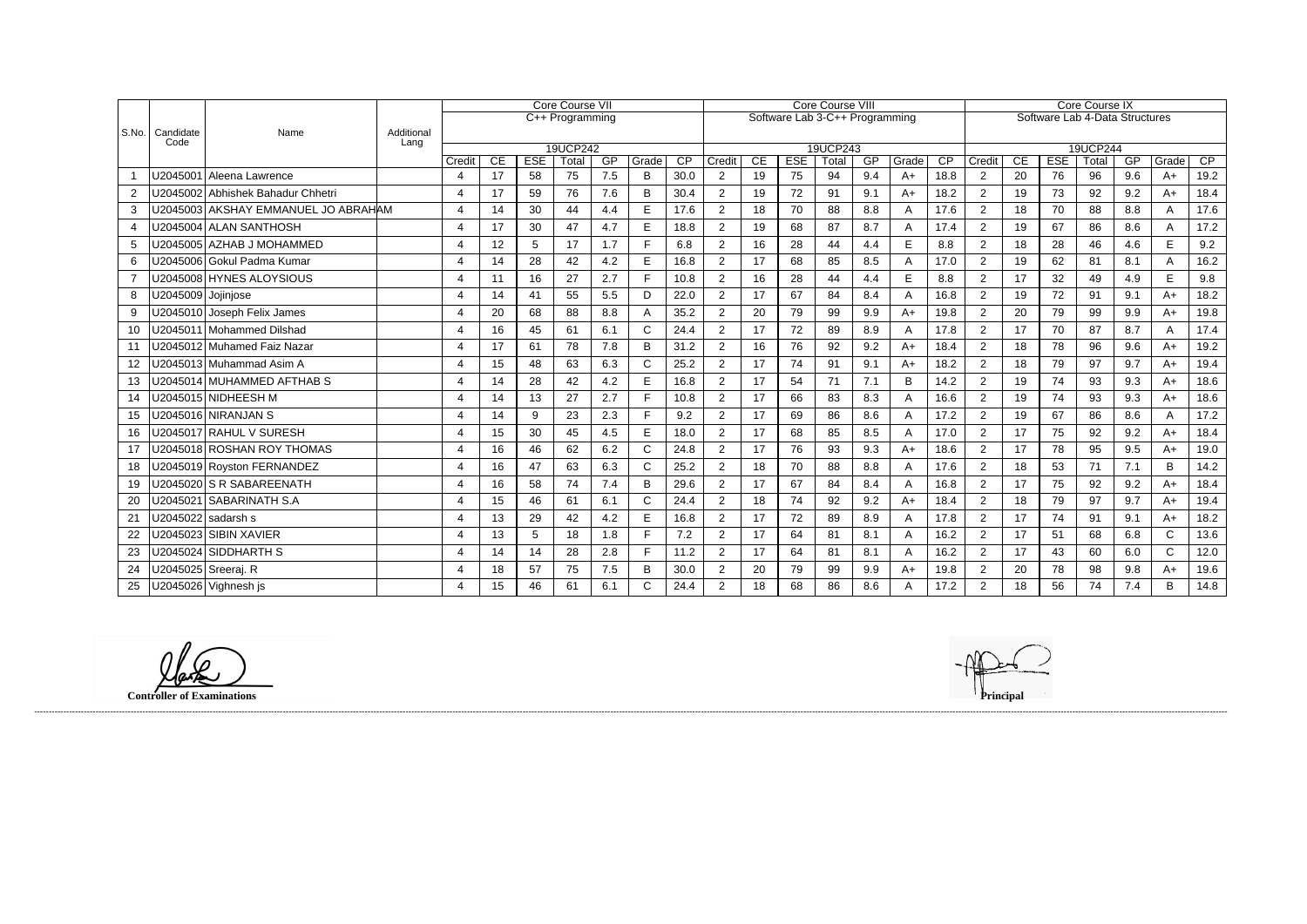|                |                    |                                     |                    | Core Course VII         |                                                                |                  |             |           |            |            | <b>Core Course VIII</b> |          |                  |             |           |               |            |                                | <b>Core Course IX</b> |                  |             |           |               |            |  |  |
|----------------|--------------------|-------------------------------------|--------------------|-------------------------|----------------------------------------------------------------|------------------|-------------|-----------|------------|------------|-------------------------|----------|------------------|-------------|-----------|---------------|------------|--------------------------------|-----------------------|------------------|-------------|-----------|---------------|------------|--|--|
| $ $ S.No. $ $  |                    |                                     |                    |                         | Software Lab 3-C++ Programming<br>$\overline{C++}$ Programming |                  |             |           |            |            |                         |          |                  |             |           |               |            | Software Lab 4-Data Structures |                       |                  |             |           |               |            |  |  |
|                | Candidate<br>Code  | Name                                | Additional<br>Lang |                         |                                                                |                  |             |           |            |            |                         |          |                  |             |           |               |            |                                |                       |                  |             |           |               |            |  |  |
|                |                    |                                     |                    | 19UCP242                |                                                                |                  |             |           |            |            |                         | 19UCP243 |                  |             |           |               |            |                                |                       | 19UCP244         |             |           |               |            |  |  |
|                |                    | U2045001 Aleena Lawrence            |                    | Credit<br>4             | CE<br>17                                                       | <b>ESE</b><br>58 | Total<br>75 | GP<br>7.5 | Grade<br>B | CP<br>30.0 | Credit<br>2             | CE<br>19 | <b>ESE</b><br>75 | Total<br>94 | GP<br>9.4 | Grade<br>$A+$ | CP<br>18.8 | Credit<br>$\overline{2}$       | CE<br>20              | <b>ESE</b><br>76 | Total<br>96 | GP<br>9.6 | Grade<br>$A+$ | CP<br>19.2 |  |  |
|                |                    |                                     |                    |                         |                                                                |                  |             |           |            |            |                         |          |                  |             |           |               |            |                                |                       |                  |             |           |               |            |  |  |
|                |                    | U2045002 Abhishek Bahadur Chhetri   |                    | 4                       | 17                                                             | 59               | 76          | 7.6       | B          | 30.4       | $\overline{2}$          | 19       | 72               | 91          | 9.1       | $A+$          | 18.2       | $\overline{2}$                 | 19                    | 73               | 92          | 9.2       | $A+$          | 18.4       |  |  |
| 3              |                    | U2045003 AKSHAY EMMANUEL JO ABRAHAM |                    | $\overline{4}$          | 14                                                             | 30               | 44          | 4.4       | E          | 17.6       | $\overline{2}$          | 18       | 70               | 88          | 8.8       | A             | 17.6       | $\overline{2}$                 | 18                    | 70               | 88          | 8.8       | A             | 17.6       |  |  |
| $\overline{4}$ |                    | U2045004 ALAN SANTHOSH              |                    | $\overline{4}$          | 17                                                             | 30               | 47          | 4.7       | E          | 18.8       | $\overline{2}$          | 19       | 68               | 87          | 8.7       | A             | 17.4       | $\overline{2}$                 | 19                    | 67               | 86          | 8.6       | A             | 17.2       |  |  |
| 5              |                    | U2045005   AZHAB J MOHAMMED         |                    | $\overline{4}$          | 12                                                             | 5                | 17          | 1.7       |            | 6.8        | $\overline{2}$          | 16       | 28               | 44          | 4.4       | E             | 8.8        | 2                              | 18                    | 28               | 46          | 4.6       | E             | 9.2        |  |  |
| 6              |                    | U2045006 Gokul Padma Kumar          |                    | $\overline{\mathbf{4}}$ | 14                                                             | 28               | 42          | 4.2       | E          | 16.8       | $\overline{2}$          | 17       | 68               | 85          | 8.5       | A             | 17.0       | 2                              | 19                    | 62               | 81          | 8.1       | A             | 16.2       |  |  |
| $\overline{7}$ |                    | U2045008 HYNES ALOYSIOUS            |                    | 4                       | 11                                                             | 16               | 27          | 2.7       |            | 10.8       | $\overline{2}$          | 16       | 28               | 44          | 4.4       | E             | 8.8        | $\overline{2}$                 | 17                    | 32               | 49          | 4.9       | E             | 9.8        |  |  |
| 8              | U2045009 Jojinjose |                                     |                    | $\overline{\mathbf{4}}$ | 14                                                             | 41               | 55          | 5.5       | D          | 22.0       | $\overline{2}$          | 17       | 67               | 84          | 8.4       | A             | 16.8       | 2                              | 19                    | 72               | 91          | 9.1       | A+            | 18.2       |  |  |
| 9              |                    | U2045010 Joseph Felix James         |                    | $\overline{4}$          | 20                                                             | 68               | 88          | 8.8       | Α          | 35.2       | $\overline{2}$          | 20       | 79               | 99          | 9.9       | $A+$          | 19.8       | $\overline{2}$                 | 20                    | 79               | 99          | 9.9       | $A+$          | 19.8       |  |  |
| 10             |                    | U2045011 Mohammed Dilshad           |                    | $\overline{\mathbf{4}}$ | 16                                                             | 45               | 61          | 6.1       | C          | 24.4       | $\overline{2}$          | 17       | 72               | 89          | 8.9       | A             | 17.8       | 2                              | 17                    | 70               | 87          | 8.7       | A             | 17.4       |  |  |
| 11             |                    | U2045012 Muhamed Faiz Nazar         |                    | $\overline{\mathbf{4}}$ | 17                                                             | 61               | 78          | 7.8       | B          | 31.2       | $\overline{2}$          | 16       | 76               | 92          | 9.2       | $A+$          | 18.4       | $\overline{2}$                 | 18                    | 78               | 96          | 9.6       | $A+$          | 19.2       |  |  |
| 12             |                    | U2045013 Muhammad Asim A            |                    | $\overline{4}$          | 15                                                             | 48               | 63          | 6.3       | C          | 25.2       | $\overline{2}$          | 17       | 74               | 91          | 9.1       | $A+$          | 18.2       | $\overline{2}$                 | 18                    | 79               | 97          | 9.7       | $A+$          | 19.4       |  |  |
| 13             |                    | U2045014 MUHAMMED AFTHAB S          |                    | $\overline{\mathbf{4}}$ | 14                                                             | 28               | 42          | 4.2       | E          | 16.8       | $\overline{2}$          | 17       | 54               | 71          | 7.1       | B             | 14.2       | 2                              | 19                    | 74               | 93          | 9.3       | $A+$          | 18.6       |  |  |
| 14             |                    | U2045015 NIDHEESH M                 |                    | $\boldsymbol{\Delta}$   | 14                                                             | 13               | 27          | 2.7       |            | 10.8       | $\overline{2}$          | 17       | 66               | 83          | 8.3       | A             | 16.6       | $\overline{2}$                 | 19                    | 74               | 93          | 9.3       | $A+$          | 18.6       |  |  |
| 15             |                    | U2045016 NIRANJAN S                 |                    | $\overline{4}$          | 14                                                             | 9                | 23          | 2.3       | Е          | 9.2        | $\overline{2}$          | 17       | 69               | 86          | 8.6       | A             | 17.2       | $\overline{2}$                 | 19                    | 67               | 86          | 8.6       | A             | 17.2       |  |  |
| 16             |                    | U2045017 RAHUL V SURESH             |                    | $\overline{4}$          | 15                                                             | 30               | 45          | 4.5       | E          | 18.0       | $\overline{2}$          | 17       | 68               | 85          | 8.5       | A             | 17.0       | $\overline{2}$                 | 17                    | 75               | 92          | 9.2       | A+            | 18.4       |  |  |
| 17             |                    | U2045018 ROSHAN ROY THOMAS          |                    | 4                       | 16                                                             | 46               | 62          | 6.2       | C          | 24.8       | $\overline{2}$          | 17       | 76               | 93          | 9.3       | $A+$          | 18.6       | $\overline{2}$                 | 17                    | 78               | 95          | 9.5       | $A+$          | 19.0       |  |  |
| 18             |                    | U2045019 Royston FERNANDEZ          |                    | 4                       | 16                                                             | 47               | 63          | 6.3       | C          | 25.2       | $\overline{2}$          | 18       | 70               | 88          | 8.8       | A             | 17.6       | $\overline{2}$                 | 18                    | 53               | 71          | 7.1       | B             | 14.2       |  |  |
| 19             |                    | U2045020 S R SABAREENATH            |                    | $\overline{4}$          | 16                                                             | 58               | 74          | 7.4       | B          | 29.6       | $\overline{2}$          | 17       | 67               | 84          | 8.4       | A             | 16.8       | $\overline{2}$                 | 17                    | 75               | 92          | 9.2       | A+            | 18.4       |  |  |
| 20             |                    | U2045021   SABARINATH S.A           |                    | $\boldsymbol{\Delta}$   | 15                                                             | 46               | 61          | 6.1       | C          | 24.4       | $\overline{2}$          | 18       | 74               | 92          | 9.2       | $A+$          | 18.4       | 2                              | 18                    | 79               | 97          | 9.7       | $A+$          | 19.4       |  |  |
| 21             |                    | U2045022 sadarsh s                  |                    | $\overline{4}$          | 13                                                             | 29               | 42          | 4.2       | E          | 16.8       | $\overline{2}$          | 17       | 72               | 89          | 8.9       | A             | 17.8       | $\overline{2}$                 | 17                    | 74               | 91          | 9.1       | $A+$          | 18.2       |  |  |
| 22             |                    | U2045023∫SIBIN XAVIER               |                    | $\overline{4}$          | 13                                                             | 5                | 18          | 1.8       |            | 7.2        | $\overline{2}$          | 17       | 64               | 81          | 8.1       | A             | 16.2       | $\overline{2}$                 | 17                    | 51               | 68          | 6.8       | $\mathsf C$   | 13.6       |  |  |
| 23             |                    | U2045024 SIDDHARTH S                |                    | 4                       | 14                                                             | 14               | 28          | 2.8       | Е          | 11.2       | $\overline{2}$          | 17       | 64               | 81          | 8.1       | A             | 16.2       | $\overline{2}$                 | 17                    | 43               | 60          | 6.0       | $\mathsf{C}$  | 12.0       |  |  |
| 24             |                    | U2045025 Sreeraj. R                 |                    | 4                       | 18                                                             | 57               | 75          | 7.5       | B          | 30.0       | $\overline{2}$          | 20       | 79               | 99          | 9.9       | $A+$          | 19.8       | 2                              | 20                    | 78               | 98          | 9.8       | $A+$          | 19.6       |  |  |
| 25             |                    | U2045026 Vighnesh js                |                    | 4                       | 15                                                             | 46               | 61          | 6.1       |            | 24.4       | $\overline{2}$          | 18       | 68               | 86          | 8.6       | A             | 17.2       | $\overline{2}$                 | 18                    | 56               | 74          | 7.4       | <sub>R</sub>  | 14.8       |  |  |

------------------------------------------------------------------------------------------------------------------------------------------------------------------------------------------------------------------------------------------------------------------------------------------------------------------------------------------------------------------------------------------------------------------------

**Controller of Examinations**